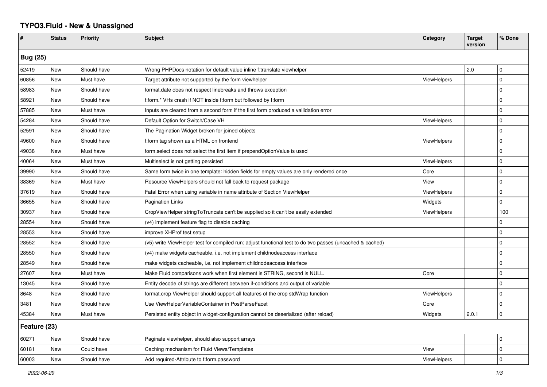## **TYPO3.Fluid - New & Unassigned**

| #               | <b>Status</b> | <b>Priority</b> | <b>Subject</b>                                                                                           | Category           | <b>Target</b><br>version | % Done         |  |  |
|-----------------|---------------|-----------------|----------------------------------------------------------------------------------------------------------|--------------------|--------------------------|----------------|--|--|
| <b>Bug (25)</b> |               |                 |                                                                                                          |                    |                          |                |  |  |
| 52419           | New           | Should have     | Wrong PHPDocs notation for default value inline f:translate viewhelper                                   |                    | 2.0                      | $\Omega$       |  |  |
| 60856           | <b>New</b>    | Must have       | Target attribute not supported by the form viewhelper                                                    | <b>ViewHelpers</b> |                          | $\Omega$       |  |  |
| 58983           | <b>New</b>    | Should have     | format.date does not respect linebreaks and throws exception                                             |                    |                          | $\Omega$       |  |  |
| 58921           | New           | Should have     | f:form.* VHs crash if NOT inside f:form but followed by f:form                                           |                    |                          | $\Omega$       |  |  |
| 57885           | New           | Must have       | Inputs are cleared from a second form if the first form produced a vallidation error                     |                    |                          | $\Omega$       |  |  |
| 54284           | New           | Should have     | Default Option for Switch/Case VH                                                                        | ViewHelpers        |                          | $\Omega$       |  |  |
| 52591           | New           | Should have     | The Pagination Widget broken for joined objects                                                          |                    |                          | $\Omega$       |  |  |
| 49600           | New           | Should have     | f:form tag shown as a HTML on frontend                                                                   | ViewHelpers        |                          | $\mathbf 0$    |  |  |
| 49038           | New           | Must have       | form.select does not select the first item if prependOptionValue is used                                 |                    |                          | $\Omega$       |  |  |
| 40064           | New           | Must have       | Multiselect is not getting persisted                                                                     | ViewHelpers        |                          | $\mathbf 0$    |  |  |
| 39990           | New           | Should have     | Same form twice in one template: hidden fields for empty values are only rendered once                   | Core               |                          | $\Omega$       |  |  |
| 38369           | <b>New</b>    | Must have       | Resource ViewHelpers should not fall back to request package                                             | View               |                          | $\Omega$       |  |  |
| 37619           | <b>New</b>    | Should have     | Fatal Error when using variable in name attribute of Section ViewHelper                                  | ViewHelpers        |                          | $\Omega$       |  |  |
| 36655           | New           | Should have     | Pagination Links                                                                                         | Widgets            |                          | $\Omega$       |  |  |
| 30937           | New           | Should have     | CropViewHelper stringToTruncate can't be supplied so it can't be easily extended                         | <b>ViewHelpers</b> |                          | 100            |  |  |
| 28554           | New           | Should have     | (v4) implement feature flag to disable caching                                                           |                    |                          | $\Omega$       |  |  |
| 28553           | <b>New</b>    | Should have     | improve XHProf test setup                                                                                |                    |                          | $\Omega$       |  |  |
| 28552           | New           | Should have     | (v5) write ViewHelper test for compiled run; adjust functional test to do two passes (uncached & cached) |                    |                          | $\Omega$       |  |  |
| 28550           | New           | Should have     | (v4) make widgets cacheable, i.e. not implement childnodeaccess interface                                |                    |                          | $\Omega$       |  |  |
| 28549           | New           | Should have     | make widgets cacheable, i.e. not implement childnodeaccess interface                                     |                    |                          | $\overline{0}$ |  |  |
| 27607           | New           | Must have       | Make Fluid comparisons work when first element is STRING, second is NULL.                                | Core               |                          | $\Omega$       |  |  |
| 13045           | New           | Should have     | Entity decode of strings are different between if-conditions and output of variable                      |                    |                          | $\mathbf 0$    |  |  |
| 8648            | New           | Should have     | format.crop ViewHelper should support all features of the crop stdWrap function                          | <b>ViewHelpers</b> |                          | $\Omega$       |  |  |
| 3481            | New           | Should have     | Use ViewHelperVariableContainer in PostParseFacet                                                        | Core               |                          | $\Omega$       |  |  |
| 45384           | New           | Must have       | Persisted entity object in widget-configuration cannot be deserialized (after reload)                    | Widgets            | 2.0.1                    | 0              |  |  |
| Feature (23)    |               |                 |                                                                                                          |                    |                          |                |  |  |
| 60271           | New           | Should have     | Paginate viewhelper, should also support arrays                                                          |                    |                          | $\Omega$       |  |  |
| 60181           | New           | Could have      | Caching mechanism for Fluid Views/Templates                                                              | View               |                          | $\mathbf 0$    |  |  |
| 60003           | <b>New</b>    | Should have     | Add required-Attribute to f:form.password                                                                | ViewHelpers        |                          | $\Omega$       |  |  |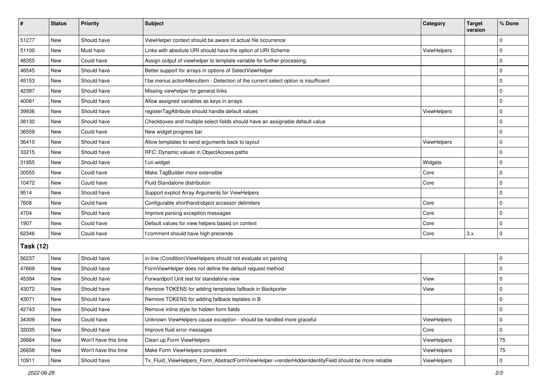| $\vert$ #        | <b>Status</b> | <b>Priority</b>      | <b>Subject</b>                                                                                      | Category           | <b>Target</b><br>version | % Done      |  |  |
|------------------|---------------|----------------------|-----------------------------------------------------------------------------------------------------|--------------------|--------------------------|-------------|--|--|
| 51277            | New           | Should have          | ViewHelper context should be aware of actual file occurrence                                        |                    |                          | $\mathbf 0$ |  |  |
| 51100            | New           | Must have            | Links with absolute URI should have the option of URI Scheme                                        | <b>ViewHelpers</b> |                          | 0           |  |  |
| 48355            | New           | Could have           | Assign output of viewhelper to template variable for further processing.                            |                    |                          | $\mathbf 0$ |  |  |
| 46545            | New           | Should have          | Better support for arrays in options of SelectViewHelper                                            |                    |                          | $\mathbf 0$ |  |  |
| 45153            | New           | Should have          | f:be.menus.actionMenuItem - Detection of the current select option is insufficient                  |                    |                          | $\pmb{0}$   |  |  |
| 42397            | New           | Should have          | Missing viewhelper for general links                                                                |                    |                          | $\mathbf 0$ |  |  |
| 40081            | <b>New</b>    | Should have          | Allow assigned variables as keys in arrays                                                          |                    |                          | $\mathbf 0$ |  |  |
| 39936            | New           | Should have          | registerTagAttribute should handle default values                                                   | <b>ViewHelpers</b> |                          | 0           |  |  |
| 38130            | New           | Should have          | Checkboxes and multiple select fields should have an assignable default value                       |                    |                          | $\mathbf 0$ |  |  |
| 36559            | New           | Could have           | New widget progress bar                                                                             |                    |                          | $\mathbf 0$ |  |  |
| 36410            | New           | Should have          | Allow templates to send arguments back to layout                                                    | ViewHelpers        |                          | $\mathbf 0$ |  |  |
| 33215            | <b>New</b>    | Should have          | RFC: Dynamic values in ObjectAccess paths                                                           |                    |                          | 0           |  |  |
| 31955            | New           | Should have          | f:uri.widget                                                                                        | Widgets            |                          | $\pmb{0}$   |  |  |
| 30555            | <b>New</b>    | Could have           | Make TagBuilder more extensible                                                                     | Core               |                          | $\mathbf 0$ |  |  |
| 10472            | New           | Could have           | Fluid Standalone distribution                                                                       | Core               |                          | $\pmb{0}$   |  |  |
| 9514             | New           | Should have          | Support explicit Array Arguments for ViewHelpers                                                    |                    |                          | $\mathbf 0$ |  |  |
| 7608             | <b>New</b>    | Could have           | Configurable shorthand/object accessor delimiters                                                   | Core               |                          | $\mathbf 0$ |  |  |
| 4704             | New           | Should have          | Improve parsing exception messages                                                                  | Core               |                          | $\pmb{0}$   |  |  |
| 1907             | New           | Could have           | Default values for view helpers based on context                                                    | Core               |                          | $\mathbf 0$ |  |  |
| 62346            | <b>New</b>    | Could have           | f:comment should have high precende                                                                 | Core               | 3.x                      | 0           |  |  |
| <b>Task (12)</b> |               |                      |                                                                                                     |                    |                          |             |  |  |
| 56237            | New           | Should have          | in-line (Condition) ViewHelpers should not evaluate on parsing                                      |                    |                          | 0           |  |  |
| 47669            | <b>New</b>    | Should have          | FormViewHelper does not define the default request method                                           |                    |                          | 0           |  |  |
| 45394            | New           | Should have          | Forwardport Unit test for standalone view                                                           | View               |                          | $\mathbf 0$ |  |  |
| 43072            | New           | Should have          | Remove TOKENS for adding templates fallback in Backporter                                           | View               |                          | $\mathbf 0$ |  |  |
| 43071            | New           | Should have          | Remove TOKENS for adding fallback teplates in B                                                     |                    |                          | $\pmb{0}$   |  |  |
| 42743            | New           | Should have          | Remove inline style for hidden form fields                                                          |                    |                          | 0           |  |  |
| 34309            | New           | Could have           | Unknown ViewHelpers cause exception - should be handled more graceful                               | ViewHelpers        |                          | 0           |  |  |
| 32035            | New           | Should have          | Improve fluid error messages                                                                        | Core               |                          | 0           |  |  |
| 26664            | New           | Won't have this time | Clean up Form ViewHelpers                                                                           | ViewHelpers        |                          | 75          |  |  |
| 26658            | New           | Won't have this time | Make Form ViewHelpers consistent                                                                    | ViewHelpers        |                          | $75\,$      |  |  |
| 10911            | New           | Should have          | Tx_Fluid_ViewHelpers_Form_AbstractFormViewHelper->renderHiddenIdentityField should be more reliable | ViewHelpers        |                          | $\pmb{0}$   |  |  |